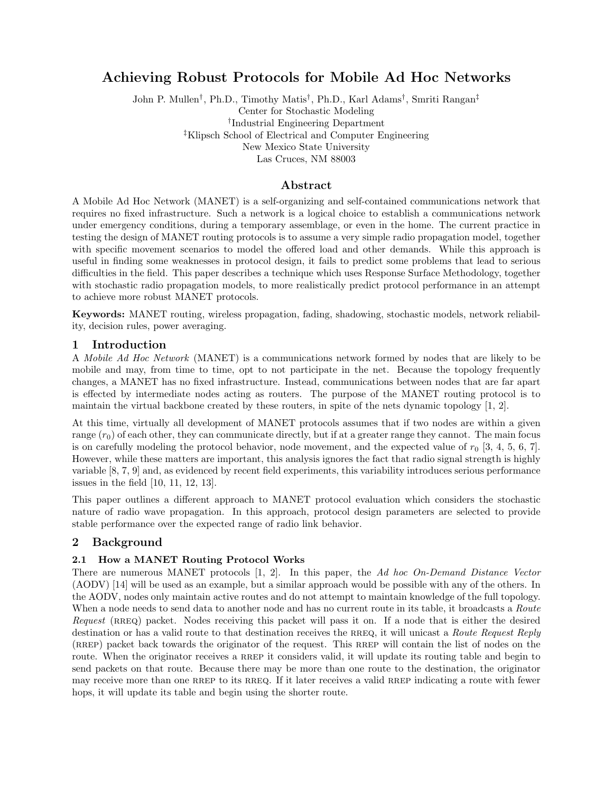# Achieving Robust Protocols for Mobile Ad Hoc Networks

John P. Mullen† , Ph.D., Timothy Matis† , Ph.D., Karl Adams† , Smriti Rangan‡ Center for Stochastic Modeling † Industrial Engineering Department ‡Klipsch School of Electrical and Computer Engineering New Mexico State University Las Cruces, NM 88003

# Abstract

A Mobile Ad Hoc Network (MANET) is a self-organizing and self-contained communications network that requires no fixed infrastructure. Such a network is a logical choice to establish a communications network under emergency conditions, during a temporary assemblage, or even in the home. The current practice in testing the design of MANET routing protocols is to assume a very simple radio propagation model, together with specific movement scenarios to model the offered load and other demands. While this approach is useful in finding some weaknesses in protocol design, it fails to predict some problems that lead to serious difficulties in the field. This paper describes a technique which uses Response Surface Methodology, together with stochastic radio propagation models, to more realistically predict protocol performance in an attempt to achieve more robust MANET protocols.

Keywords: MANET routing, wireless propagation, fading, shadowing, stochastic models, network reliability, decision rules, power averaging.

# 1 Introduction

A Mobile Ad Hoc Network (MANET) is a communications network formed by nodes that are likely to be mobile and may, from time to time, opt to not participate in the net. Because the topology frequently changes, a MANET has no fixed infrastructure. Instead, communications between nodes that are far apart is effected by intermediate nodes acting as routers. The purpose of the MANET routing protocol is to maintain the virtual backbone created by these routers, in spite of the nets dynamic topology [1, 2].

At this time, virtually all development of MANET protocols assumes that if two nodes are within a given range  $(r_0)$  of each other, they can communicate directly, but if at a greater range they cannot. The main focus is on carefully modeling the protocol behavior, node movement, and the expected value of  $r_0$  [3, 4, 5, 6, 7]. However, while these matters are important, this analysis ignores the fact that radio signal strength is highly variable [8, 7, 9] and, as evidenced by recent field experiments, this variability introduces serious performance issues in the field [10, 11, 12, 13].

This paper outlines a different approach to MANET protocol evaluation which considers the stochastic nature of radio wave propagation. In this approach, protocol design parameters are selected to provide stable performance over the expected range of radio link behavior.

# 2 Background

# 2.1 How a MANET Routing Protocol Works

There are numerous MANET protocols [1, 2]. In this paper, the Ad hoc On-Demand Distance Vector (AODV) [14] will be used as an example, but a similar approach would be possible with any of the others. In the AODV, nodes only maintain active routes and do not attempt to maintain knowledge of the full topology. When a node needs to send data to another node and has no current route in its table, it broadcasts a Route Request (RREQ) packet. Nodes receiving this packet will pass it on. If a node that is either the desired destination or has a valid route to that destination receives the RREQ, it will unicast a Route Request Reply (RREP) packet back towards the originator of the request. This RREP will contain the list of nodes on the route. When the originator receives a RREP it considers valid, it will update its routing table and begin to send packets on that route. Because there may be more than one route to the destination, the originator may receive more than one RREP to its RREQ. If it later receives a valid RREP indicating a route with fewer hops, it will update its table and begin using the shorter route.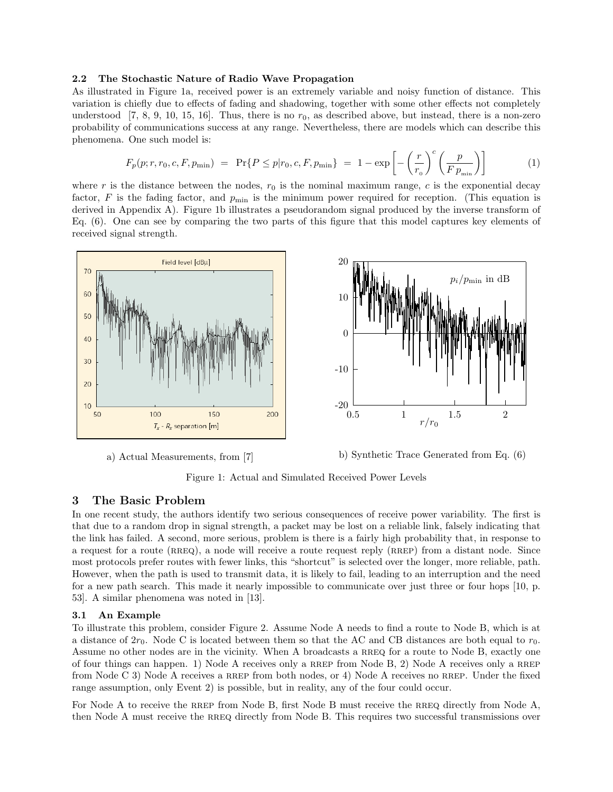#### 2.2 The Stochastic Nature of Radio Wave Propagation

As illustrated in Figure 1a, received power is an extremely variable and noisy function of distance. This variation is chiefly due to effects of fading and shadowing, together with some other effects not completely understood [7, 8, 9, 10, 15, 16]. Thus, there is no  $r_0$ , as described above, but instead, there is a non-zero probability of communications success at any range. Nevertheless, there are models which can describe this phenomena. One such model is:

$$
F_p(p; r, r_0, c, F, p_{\min}) = \Pr\{P \le p | r_0, c, F, p_{\min}\} = 1 - \exp\left[-\left(\frac{r}{r_0}\right)^c \left(\frac{p}{F p_{\min}}\right)\right]
$$
(1)

where r is the distance between the nodes,  $r_0$  is the nominal maximum range, c is the exponential decay factor,  $F$  is the fading factor, and  $p_{\min}$  is the minimum power required for reception. (This equation is derived in Appendix A). Figure 1b illustrates a pseudorandom signal produced by the inverse transform of Eq. (6). One can see by comparing the two parts of this figure that this model captures key elements of received signal strength.



a) Actual Measurements, from [7]

b) Synthetic Trace Generated from Eq. (6)

Figure 1: Actual and Simulated Received Power Levels

### 3 The Basic Problem

In one recent study, the authors identify two serious consequences of receive power variability. The first is that due to a random drop in signal strength, a packet may be lost on a reliable link, falsely indicating that the link has failed. A second, more serious, problem is there is a fairly high probability that, in response to a request for a route (RREQ), a node will receive a route request reply (RREP) from a distant node. Since most protocols prefer routes with fewer links, this "shortcut" is selected over the longer, more reliable, path. However, when the path is used to transmit data, it is likely to fail, leading to an interruption and the need for a new path search. This made it nearly impossible to communicate over just three or four hops [10, p. 53]. A similar phenomena was noted in [13].

#### 3.1 An Example

To illustrate this problem, consider Figure 2. Assume Node A needs to find a route to Node B, which is at a distance of  $2r_0$ . Node C is located between them so that the AC and CB distances are both equal to  $r_0$ . Assume no other nodes are in the vicinity. When A broadcasts a RREQ for a route to Node B, exactly one of four things can happen. 1) Node A receives only a RREP from Node B, 2) Node A receives only a RREP from Node C 3) Node A receives a RREP from both nodes, or 4) Node A receives no RREP. Under the fixed range assumption, only Event 2) is possible, but in reality, any of the four could occur.

For Node A to receive the RREP from Node B, first Node B must receive the RREQ directly from Node A, then Node A must receive the rreq directly from Node B. This requires two successful transmissions over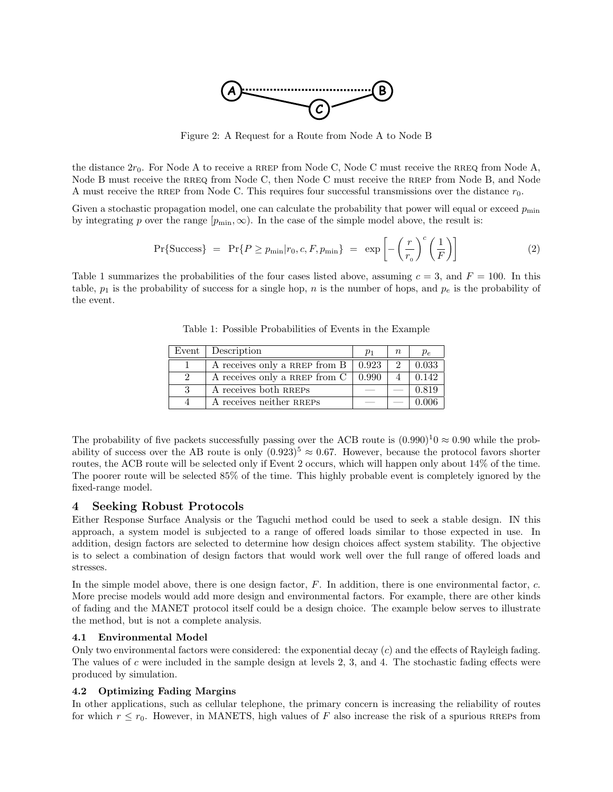

Figure 2: A Request for a Route from Node A to Node B

the distance  $2r_0$ . For Node A to receive a RREP from Node C, Node C must receive the RREQ from Node A, Node B must receive the RREQ from Node C, then Node C must receive the RREP from Node B, and Node A must receive the RREP from Node C. This requires four successful transmissions over the distance  $r_0$ .

Given a stochastic propagation model, one can calculate the probability that power will equal or exceed  $p_{\min}$ by integrating p over the range  $[p_{\min}, \infty)$ . In the case of the simple model above, the result is:

$$
Pr{Success} = Pr{P \ge p_{\min}|r_0, c, F, p_{\min}} = exp\left[-\left(\frac{r}{r_0}\right)^c \left(\frac{1}{F}\right)\right]
$$
(2)

Table 1 summarizes the probabilities of the four cases listed above, assuming  $c = 3$ , and  $F = 100$ . In this table,  $p_1$  is the probability of success for a single hop, n is the number of hops, and  $p_e$  is the probability of the event.

|               | Event Description                          | $p_1$ | $\, n$        | $p_e$ |
|---------------|--------------------------------------------|-------|---------------|-------|
|               | A receives only a RREP from $B \mid 0.923$ |       | $\mathcal{D}$ | 0.033 |
| $\mathcal{D}$ | A receives only a RREP from C              | 0.990 |               | 0.142 |
| 3             | A receives both RREPS                      |       |               | 0.819 |
|               | A receives neither RREPS                   |       |               | 0.006 |

Table 1: Possible Probabilities of Events in the Example

The probability of five packets successfully passing over the ACB route is  $(0.990)^{1}$   $\approx 0.90$  while the probability of success over the AB route is only  $(0.923)^5 \approx 0.67$ . However, because the protocol favors shorter routes, the ACB route will be selected only if Event 2 occurs, which will happen only about 14% of the time. The poorer route will be selected 85% of the time. This highly probable event is completely ignored by the fixed-range model.

# 4 Seeking Robust Protocols

Either Response Surface Analysis or the Taguchi method could be used to seek a stable design. IN this approach, a system model is subjected to a range of offered loads similar to those expected in use. In addition, design factors are selected to determine how design choices affect system stability. The objective is to select a combination of design factors that would work well over the full range of offered loads and stresses.

In the simple model above, there is one design factor,  $F$ . In addition, there is one environmental factor,  $c$ . More precise models would add more design and environmental factors. For example, there are other kinds of fading and the MANET protocol itself could be a design choice. The example below serves to illustrate the method, but is not a complete analysis.

#### 4.1 Environmental Model

Only two environmental factors were considered: the exponential decay  $(c)$  and the effects of Rayleigh fading. The values of c were included in the sample design at levels 2, 3, and 4. The stochastic fading effects were produced by simulation.

## 4.2 Optimizing Fading Margins

In other applications, such as cellular telephone, the primary concern is increasing the reliability of routes for which  $r \leq r_0$ . However, in MANETS, high values of F also increase the risk of a spurious RREPs from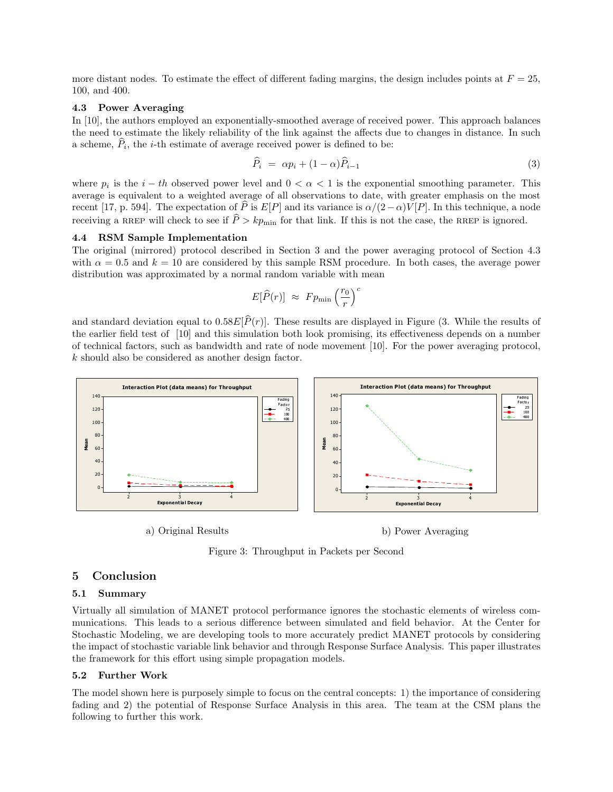more distant nodes. To estimate the effect of different fading margins, the design includes points at  $F = 25$ , 100, and 400.

#### 4.3 Power Averaging

In [10], the authors employed an exponentially-smoothed average of received power. This approach balances the need to estimate the likely reliability of the link against the affects due to changes in distance. In such a scheme,  $\widehat{P}_i$ , the *i*-th estimate of average received power is defined to be:

$$
\widehat{P}_i = \alpha p_i + (1 - \alpha)\widehat{P}_{i-1} \tag{3}
$$

where  $p_i$  is the  $i - th$  observed power level and  $0 < \alpha < 1$  is the exponential smoothing parameter. This average is equivalent to a weighted average of all observations to date, with greater emphasis on the most recent [17, p. 594]. The expectation of  $\hat{P}$  is  $E[P]$  and its variance is  $\alpha/(2-\alpha)V[P]$ . In this technique, a node receiving a RREP will check to see if  $\hat{P} > kp_{\text{min}}$  for that link. If this is not the case, the RREP is ignored.

#### 4.4 RSM Sample Implementation

The original (mirrored) protocol described in Section 3 and the power averaging protocol of Section 4.3 with  $\alpha = 0.5$  and  $k = 10$  are considered by this sample RSM procedure. In both cases, the average power distribution was approximated by a normal random variable with mean

$$
E[\widehat{P}(r)] \approx F p_{\min} \left(\frac{r_0}{r}\right)^c
$$

and standard deviation equal to  $0.58E[\hat{P}(r)]$ . These results are displayed in Figure (3. While the results of the earlier field test of [10] and this simulation both look promising, its effectiveness depends on a number of technical factors, such as bandwidth and rate of node movement [10]. For the power averaging protocol, k should also be considered as another design factor.



a) Original Results

b) Power Averaging

Figure 3: Throughput in Packets per Second

### 5 Conclusion

#### 5.1 Summary

Virtually all simulation of MANET protocol performance ignores the stochastic elements of wireless communications. This leads to a serious difference between simulated and field behavior. At the Center for Stochastic Modeling, we are developing tools to more accurately predict MANET protocols by considering the impact of stochastic variable link behavior and through Response Surface Analysis. This paper illustrates the framework for this effort using simple propagation models.

### 5.2 Further Work

The model shown here is purposely simple to focus on the central concepts: 1) the importance of considering fading and 2) the potential of Response Surface Analysis in this area. The team at the CSM plans the following to further this work.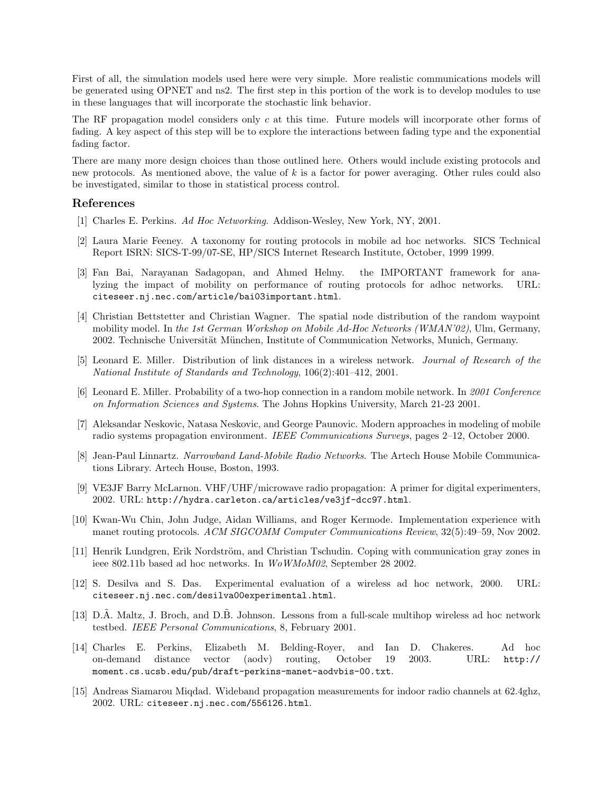First of all, the simulation models used here were very simple. More realistic communications models will be generated using OPNET and ns2. The first step in this portion of the work is to develop modules to use in these languages that will incorporate the stochastic link behavior.

The RF propagation model considers only c at this time. Future models will incorporate other forms of fading. A key aspect of this step will be to explore the interactions between fading type and the exponential fading factor.

There are many more design choices than those outlined here. Others would include existing protocols and new protocols. As mentioned above, the value of k is a factor for power averaging. Other rules could also be investigated, similar to those in statistical process control.

# References

- [1] Charles E. Perkins. Ad Hoc Networking. Addison-Wesley, New York, NY, 2001.
- [2] Laura Marie Feeney. A taxonomy for routing protocols in mobile ad hoc networks. SICS Technical Report ISRN: SICS-T-99/07-SE, HP/SICS Internet Research Institute, October, 1999 1999.
- [3] Fan Bai, Narayanan Sadagopan, and Ahmed Helmy. the IMPORTANT framework for analyzing the impact of mobility on performance of routing protocols for adhoc networks. URL: citeseer.nj.nec.com/article/bai03important.html.
- [4] Christian Bettstetter and Christian Wagner. The spatial node distribution of the random waypoint mobility model. In the 1st German Workshop on Mobile Ad-Hoc Networks (WMAN'02), Ulm, Germany, 2002. Technische Universität München, Institute of Communication Networks, Munich, Germany.
- [5] Leonard E. Miller. Distribution of link distances in a wireless network. Journal of Research of the National Institute of Standards and Technology, 106(2):401–412, 2001.
- [6] Leonard E. Miller. Probability of a two-hop connection in a random mobile network. In 2001 Conference on Information Sciences and Systems. The Johns Hopkins University, March 21-23 2001.
- [7] Aleksandar Neskovic, Natasa Neskovic, and George Paunovic. Modern approaches in modeling of mobile radio systems propagation environment. IEEE Communications Surveys, pages 2–12, October 2000.
- [8] Jean-Paul Linnartz. Narrowband Land-Mobile Radio Networks. The Artech House Mobile Communications Library. Artech House, Boston, 1993.
- [9] VE3JF Barry McLarnon. VHF/UHF/microwave radio propagation: A primer for digital experimenters, 2002. URL: http://hydra.carleton.ca/articles/ve3jf-dcc97.html.
- [10] Kwan-Wu Chin, John Judge, Aidan Williams, and Roger Kermode. Implementation experience with manet routing protocols. ACM SIGCOMM Computer Communications Review, 32(5):49–59, Nov 2002.
- [11] Henrik Lundgren, Erik Nordström, and Christian Tschudin. Coping with communication gray zones in ieee 802.11b based ad hoc networks. In WoWMoM02, September 28 2002.
- [12] S. Desilva and S. Das. Experimental evaluation of a wireless ad hoc network, 2000. URL: citeseer.nj.nec.com/desilva00experimental.html.
- [13] D.A. Maltz, J. Broch, and D.B. Johnson. Lessons from a full-scale multihop wireless ad hoc network testbed. IEEE Personal Communications, 8, February 2001.
- [14] Charles E. Perkins, Elizabeth M. Belding-Royer, and Ian D. Chakeres. Ad hoc on-demand distance vector (aodv) routing, October 19 2003. URL: http:// moment.cs.ucsb.edu/pub/draft-perkins-manet-aodvbis-00.txt.
- [15] Andreas Siamarou Miqdad. Wideband propagation measurements for indoor radio channels at 62.4ghz, 2002. URL: citeseer.nj.nec.com/556126.html.